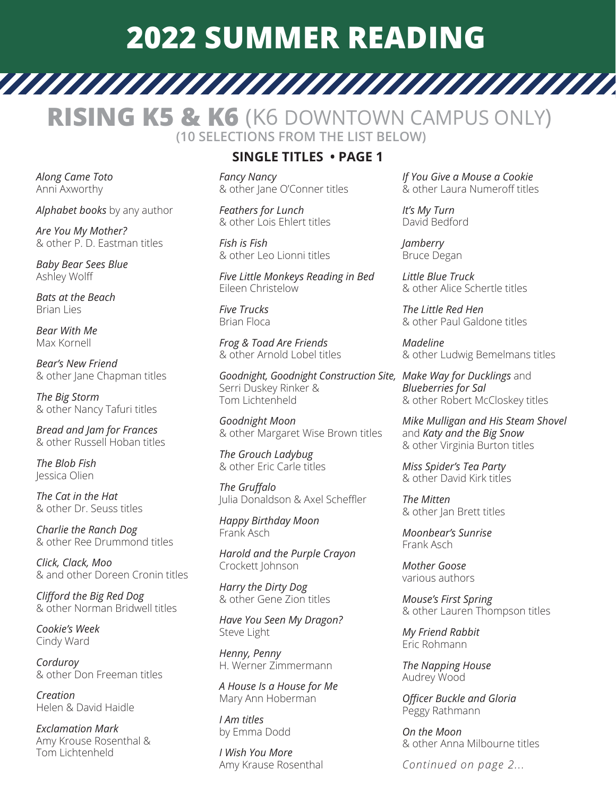## **2022 SUMMER READING**

**RISING K5 & K6** (K6 DOWNTOWN CAMPUS ONLY)  **(10 SELECTIONS FROM THE LIST BELOW)**

*Along Came Toto* Anni Axworthy

*Alphabet books* by any author

*Are You My Mother?*  & other P. D. Eastman titles

*Baby Bear Sees Blue* Ashley Wolff

*Bats at the Beach* Brian Lies

*Bear With Me* Max Kornell

*Bear's New Friend*  & other Jane Chapman titles

*The Big Storm*  & other Nancy Tafuri titles

*Bread and Jam for Frances*  & other Russell Hoban titles

*The Blob Fish* Jessica Olien

*The Cat in the Hat*  & other Dr. Seuss titles

*Charlie the Ranch Dog*  & other Ree Drummond titles

*Click, Clack, Moo*  & and other Doreen Cronin titles

*Clifford the Big Red Dog*  & other Norman Bridwell titles

*Cookie's Week* Cindy Ward

*Corduroy*  & other Don Freeman titles

*Creation* Helen & David Haidle

*Exclamation Mark* Amy Krouse Rosenthal & Tom Lichtenheld

## **SINGLE TITLES • PAGE 1**

*Fancy Nancy*  & other Jane O'Conner titles

*Feathers for Lunch*  & other Lois Ehlert titles

*Fish is Fish*  & other Leo Lionni titles

*Five Little Monkeys Reading in Bed* Eileen Christelow

*Five Trucks* Brian Floca

*Frog & Toad Are Friends*  & other Arnold Lobel titles

*Goodnight, Goodnight Construction Site, Make Way for Ducklings* and Serri Duskey Rinker & Tom Lichtenheld

*Goodnight Moon* & other Margaret Wise Brown titles

*The Grouch Ladybug*  & other Eric Carle titles

*The Gruffalo*  Julia Donaldson & Axel Scheffler

*Happy Birthday Moon* Frank Asch

*Harold and the Purple Crayon* Crockett Johnson

*Harry the Dirty Dog* & other Gene Zion titles

*Have You Seen My Dragon?* Steve Light

*Henny, Penny* H. Werner Zimmermann

*A House Is a House for Me* Mary Ann Hoberman

*I Am titles*  by Emma Dodd

*I Wish You More* Amy Krause Rosenthal *If You Give a Mouse a Cookie*  & other Laura Numeroff titles

*It's My Turn* David Bedford

*Jamberry* Bruce Degan

*Little Blue Truck* & other Alice Schertle titles

*The Little Red Hen* & other Paul Galdone titles

*Madeline*  & other Ludwig Bemelmans titles

*Blueberries for Sal* & other Robert McCloskey titles

*Mike Mulligan and His Steam Shovel* and *Katy and the Big Snow*  & other Virginia Burton titles

*Miss Spider's Tea Party*  & other David Kirk titles

*The Mitten*  & other Jan Brett titles

*Moonbear's Sunrise* Frank Asch

*Mother Goose* various authors

*Mouse's First Spring*  & other Lauren Thompson titles

*My Friend Rabbit* Eric Rohmann

*The Napping House* Audrey Wood

*Officer Buckle and Gloria* Peggy Rathmann

*On the Moon*  & other Anna Milbourne titles

*Continued on page 2...*